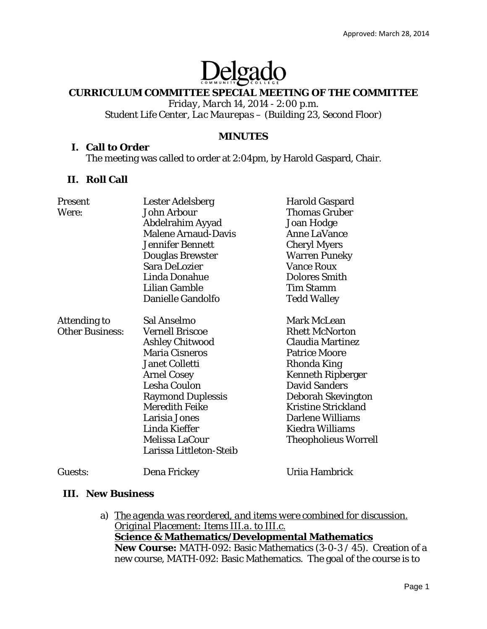# Delgado

### **CURRICULUM COMMITTEE SPECIAL MEETING OF THE COMMITTEE**

*Friday, March 14, 2014 - 2:00 p.m. Student Life Center, Lac Maurepas – (Building 23, Second Floor)* 

# **MINUTES**

#### **I. Call to Order**

The meeting was called to order at 2:04pm, by Harold Gaspard, Chair.

# **II. Roll Call**

| Present                | <b>Lester Adelsberg</b>    | <b>Harold Gaspard</b>       |
|------------------------|----------------------------|-----------------------------|
| Were:                  | <b>John Arbour</b>         | <b>Thomas Gruber</b>        |
|                        | Abdelrahim Ayyad           | Joan Hodge                  |
|                        | <b>Malene Arnaud-Davis</b> | <b>Anne LaVance</b>         |
|                        | <b>Jennifer Bennett</b>    | <b>Cheryl Myers</b>         |
|                        | <b>Douglas Brewster</b>    | <b>Warren Puneky</b>        |
|                        | <b>Sara DeLozier</b>       | <b>Vance Roux</b>           |
|                        | Linda Donahue              | <b>Dolores Smith</b>        |
|                        | Lilian Gamble              | <b>Tim Stamm</b>            |
|                        | Danielle Gandolfo          | <b>Tedd Walley</b>          |
| <b>Attending to</b>    | Sal Anselmo                | Mark McLean                 |
| <b>Other Business:</b> | <b>Vernell Briscoe</b>     | <b>Rhett McNorton</b>       |
|                        | <b>Ashley Chitwood</b>     | <b>Claudia Martinez</b>     |
|                        | <b>Maria Cisneros</b>      | <b>Patrice Moore</b>        |
|                        | <b>Janet Colletti</b>      | Rhonda King                 |
|                        | <b>Arnel Cosey</b>         | <b>Kenneth Ripberger</b>    |
|                        | <b>Lesha Coulon</b>        | <b>David Sanders</b>        |
|                        | <b>Raymond Duplessis</b>   | Deborah Skevington          |
|                        | <b>Meredith Feike</b>      | <b>Kristine Strickland</b>  |
|                        | Larisia Jones              | Darlene Williams            |
|                        | Linda Kieffer              | Kiedra Williams             |
|                        | Melissa LaCour             | <b>Theopholieus Worrell</b> |
|                        | Larissa Littleton-Steib    |                             |
| Guests:                | Dena Frickey               | Uriia Hambrick              |

# **III. New Business**

a) *The agenda was reordered, and items were combined for discussion. Original Placement: Items III.a. to III.c.* **Science & Mathematics/Developmental Mathematics New Course:** MATH-092: Basic Mathematics (3-0-3 / 45). Creation of a new course, MATH-092: Basic Mathematics. The goal of the course is to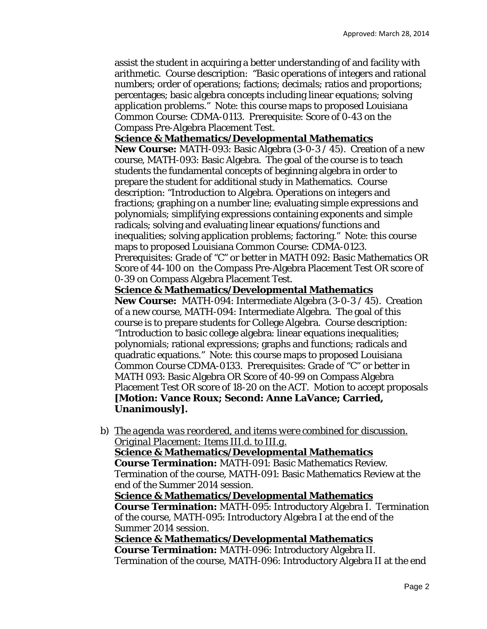assist the student in acquiring a better understanding of and facility with arithmetic. Course description: "Basic operations of integers and rational numbers; order of operations; factions; decimals; ratios and proportions; percentages; basic algebra concepts including linear equations; solving application problems." Note: this course maps to proposed Louisiana Common Course: CDMA-0113. Prerequisite: Score of 0-43 on the Compass Pre-Algebra Placement Test.

### **Science & Mathematics/Developmental Mathematics**

**New Course:** MATH-093: Basic Algebra (3-0-3 / 45). Creation of a new course, MATH-093: Basic Algebra. The goal of the course is to teach students the fundamental concepts of beginning algebra in order to prepare the student for additional study in Mathematics. Course description: "Introduction to Algebra. Operations on integers and fractions; graphing on a number line; evaluating simple expressions and polynomials; simplifying expressions containing exponents and simple radicals; solving and evaluating linear equations/functions and inequalities; solving application problems; factoring." Note: this course maps to proposed Louisiana Common Course: CDMA-0123. Prerequisites: Grade of "C" or better in MATH 092: Basic Mathematics OR Score of 44-100 on the Compass Pre-Algebra Placement Test OR score of 0-39 on Compass Algebra Placement Test.

# **Science & Mathematics/Developmental Mathematics**

**New Course:** MATH-094: Intermediate Algebra (3-0-3 / 45). Creation of a new course, MATH-094: Intermediate Algebra. The goal of this course is to prepare students for College Algebra. Course description: "Introduction to basic college algebra: linear equations inequalities; polynomials; rational expressions; graphs and functions; radicals and quadratic equations." Note: this course maps to proposed Louisiana Common Course CDMA-0133. Prerequisites: Grade of "C" or better in MATH 093: Basic Algebra OR Score of 40-99 on Compass Algebra Placement Test OR score of 18-20 on the ACT. Motion to accept proposals **[Motion: Vance Roux; Second: Anne LaVance; Carried, Unanimously].** 

b) *The agenda was reordered, and items were combined for discussion. Original Placement: Items III.d. to III.g.* **Science & Mathematics/Developmental Mathematics Course Termination:** MATH-091: Basic Mathematics Review. Termination of the course, MATH-091: Basic Mathematics Review at the end of the Summer 2014 session. **Science & Mathematics/Developmental Mathematics Course Termination:** MATH-095: Introductory Algebra I. Termination of the course, MATH-095: Introductory Algebra I at the end of the Summer 2014 session. **Science & Mathematics/Developmental Mathematics** 

**Course Termination:** MATH-096: Introductory Algebra II. Termination of the course, MATH-096: Introductory Algebra II at the end